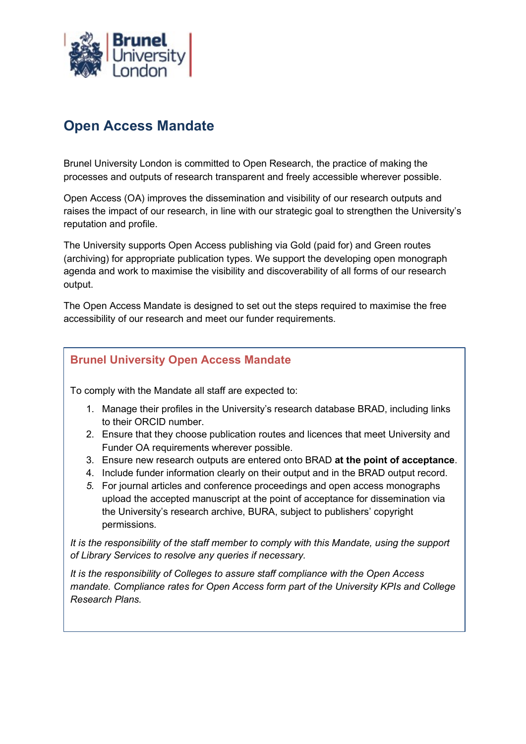

# Open Access Mandate

Brunel University London is committed to Open Research, the practice of making the processes and outputs of research transparent and freely accessible wherever possible.

Open Access (OA) improves the dissemination and visibility of our research outputs and raises the impact of our research, in line with our strategic goal to strengthen the University's reputation and profile.

The University supports Open Access publishing via Gold (paid for) and Green routes (archiving) for appropriate publication types. We support the developing open monograph agenda and work to maximise the visibility and discoverability of all forms of our research output.

The Open Access Mandate is designed to set out the steps required to maximise the free accessibility of our research and meet our funder requirements.

## Brunel University Open Access Mandate

To comply with the Mandate all staff are expected to:

- 1. Manage their profiles in the University's research database BRAD, including links to their ORCID number.
- 2. Ensure that they choose publication routes and licences that meet University and Funder OA requirements wherever possible.
- 3. Ensure new research outputs are entered onto BRAD at the point of acceptance.
- 4. Include funder information clearly on their output and in the BRAD output record.
- 5. For journal articles and conference proceedings and open access monographs upload the accepted manuscript at the point of acceptance for dissemination via the University's research archive, BURA, subject to publishers' copyright permissions.

It is the responsibility of the staff member to comply with this Mandate, using the support of Library Services to resolve any queries if necessary.

It is the responsibility of Colleges to assure staff compliance with the Open Access mandate. Compliance rates for Open Access form part of the University KPIs and College Research Plans.